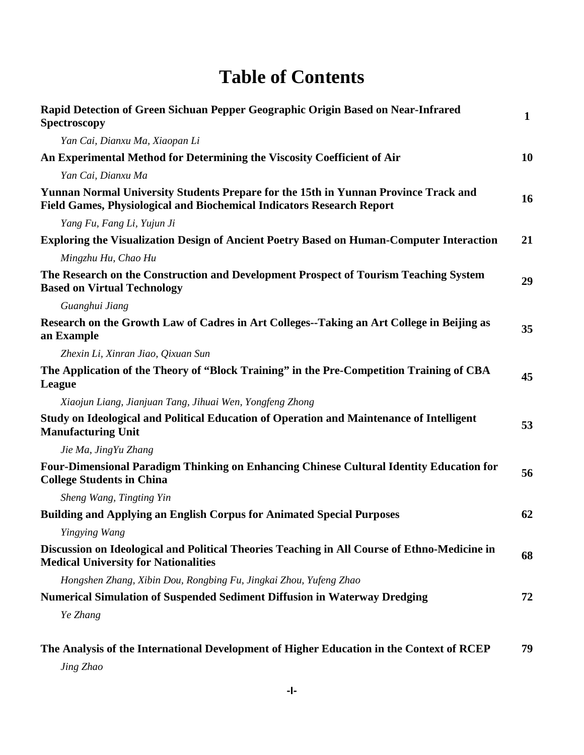## **Table of Contents**

| Rapid Detection of Green Sichuan Pepper Geographic Origin Based on Near-Infrared<br><b>Spectroscopy</b>                                                             | $\mathbf{1}$ |
|---------------------------------------------------------------------------------------------------------------------------------------------------------------------|--------------|
| Yan Cai, Dianxu Ma, Xiaopan Li                                                                                                                                      |              |
| An Experimental Method for Determining the Viscosity Coefficient of Air                                                                                             | 10           |
| Yan Cai, Dianxu Ma                                                                                                                                                  |              |
| Yunnan Normal University Students Prepare for the 15th in Yunnan Province Track and<br><b>Field Games, Physiological and Biochemical Indicators Research Report</b> | 16           |
| Yang Fu, Fang Li, Yujun Ji                                                                                                                                          |              |
| <b>Exploring the Visualization Design of Ancient Poetry Based on Human-Computer Interaction</b>                                                                     | 21           |
| Mingzhu Hu, Chao Hu                                                                                                                                                 |              |
| The Research on the Construction and Development Prospect of Tourism Teaching System<br><b>Based on Virtual Technology</b>                                          | 29           |
| Guanghui Jiang                                                                                                                                                      |              |
| Research on the Growth Law of Cadres in Art Colleges--Taking an Art College in Beijing as<br>an Example                                                             | 35           |
| Zhexin Li, Xinran Jiao, Qixuan Sun                                                                                                                                  |              |
| The Application of the Theory of "Block Training" in the Pre-Competition Training of CBA<br>League                                                                  | 45           |
| Xiaojun Liang, Jianjuan Tang, Jihuai Wen, Yongfeng Zhong                                                                                                            |              |
| Study on Ideological and Political Education of Operation and Maintenance of Intelligent<br><b>Manufacturing Unit</b>                                               | 53           |
| Jie Ma, JingYu Zhang                                                                                                                                                |              |
| <b>Four-Dimensional Paradigm Thinking on Enhancing Chinese Cultural Identity Education for</b><br><b>College Students in China</b>                                  | 56           |
| Sheng Wang, Tingting Yin                                                                                                                                            |              |
| <b>Building and Applying an English Corpus for Animated Special Purposes</b>                                                                                        | 62           |
| Yingying Wang                                                                                                                                                       |              |
| Discussion on Ideological and Political Theories Teaching in All Course of Ethno-Medicine in<br><b>Medical University for Nationalities</b>                         | 68           |
| Hongshen Zhang, Xibin Dou, Rongbing Fu, Jingkai Zhou, Yufeng Zhao                                                                                                   |              |
| Numerical Simulation of Suspended Sediment Diffusion in Waterway Dredging                                                                                           | 72           |
| Ye Zhang                                                                                                                                                            |              |
| The Analysis of the International Development of Higher Education in the Context of RCEP                                                                            | 79           |

*Jing Zhao*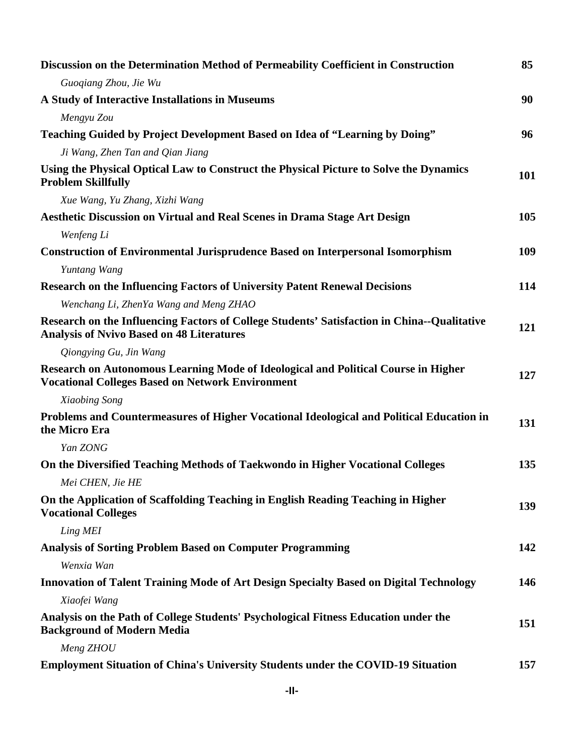| Discussion on the Determination Method of Permeability Coefficient in Construction                                                              | 85         |
|-------------------------------------------------------------------------------------------------------------------------------------------------|------------|
| Guogiang Zhou, Jie Wu                                                                                                                           |            |
| A Study of Interactive Installations in Museums                                                                                                 | 90         |
| Mengyu Zou                                                                                                                                      |            |
| Teaching Guided by Project Development Based on Idea of "Learning by Doing"                                                                     | 96         |
| Ji Wang, Zhen Tan and Qian Jiang                                                                                                                |            |
| Using the Physical Optical Law to Construct the Physical Picture to Solve the Dynamics<br><b>Problem Skillfully</b>                             | <b>101</b> |
| Xue Wang, Yu Zhang, Xizhi Wang                                                                                                                  |            |
| Aesthetic Discussion on Virtual and Real Scenes in Drama Stage Art Design                                                                       | 105        |
| Wenfeng Li                                                                                                                                      |            |
| <b>Construction of Environmental Jurisprudence Based on Interpersonal Isomorphism</b>                                                           | 109        |
| Yuntang Wang                                                                                                                                    |            |
| <b>Research on the Influencing Factors of University Patent Renewal Decisions</b>                                                               | 114        |
| Wenchang Li, ZhenYa Wang and Meng ZHAO                                                                                                          |            |
| Research on the Influencing Factors of College Students' Satisfaction in China--Qualitative<br><b>Analysis of Nvivo Based on 48 Literatures</b> | 121        |
| Qiongying Gu, Jin Wang                                                                                                                          |            |
| Research on Autonomous Learning Mode of Ideological and Political Course in Higher<br><b>Vocational Colleges Based on Network Environment</b>   | 127        |
| Xiaobing Song                                                                                                                                   |            |
| Problems and Countermeasures of Higher Vocational Ideological and Political Education in<br>the Micro Era                                       | 131        |
| Yan ZONG                                                                                                                                        |            |
| On the Diversified Teaching Methods of Taekwondo in Higher Vocational Colleges                                                                  | 135        |
| Mei CHEN, Jie HE                                                                                                                                |            |
| On the Application of Scaffolding Teaching in English Reading Teaching in Higher<br><b>Vocational Colleges</b>                                  | 139        |
| Ling MEI                                                                                                                                        |            |
| <b>Analysis of Sorting Problem Based on Computer Programming</b>                                                                                | 142        |
| Wenxia Wan                                                                                                                                      |            |
| Innovation of Talent Training Mode of Art Design Specialty Based on Digital Technology                                                          | 146        |
| Xiaofei Wang                                                                                                                                    |            |
| Analysis on the Path of College Students' Psychological Fitness Education under the<br><b>Background of Modern Media</b>                        | 151        |
| Meng ZHOU                                                                                                                                       |            |
| <b>Employment Situation of China's University Students under the COVID-19 Situation</b>                                                         | 157        |